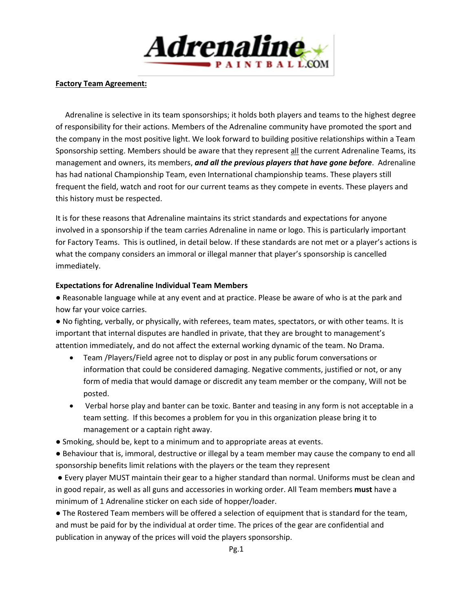

#### **Factory Team Agreement:**

 Adrenaline is selective in its team sponsorships; it holds both players and teams to the highest degree of responsibility for their actions. Members of the Adrenaline community have promoted the sport and the company in the most positive light. We look forward to building positive relationships within a Team Sponsorship setting. Members should be aware that they represent all the current Adrenaline Teams, its management and owners, its members, *and all the previous players that have gone before*. Adrenaline has had national Championship Team, even International championship teams. These players still frequent the field, watch and root for our current teams as they compete in events. These players and this history must be respected.

It is for these reasons that Adrenaline maintains its strict standards and expectations for anyone involved in a sponsorship if the team carries Adrenaline in name or logo. This is particularly important for Factory Teams. This is outlined, in detail below. If these standards are not met or a player's actions is what the company considers an immoral or illegal manner that player's sponsorship is cancelled immediately.

#### **Expectations for Adrenaline Individual Team Members**

● Reasonable language while at any event and at practice. Please be aware of who is at the park and how far your voice carries.

● No fighting, verbally, or physically, with referees, team mates, spectators, or with other teams. It is important that internal disputes are handled in private, that they are brought to management's attention immediately, and do not affect the external working dynamic of the team. No Drama.

- Team /Players/Field agree not to display or post in any public forum conversations or information that could be considered damaging. Negative comments, justified or not, or any form of media that would damage or discredit any team member or the company, Will not be posted.
- Verbal horse play and banter can be toxic. Banter and teasing in any form is not acceptable in a team setting. If this becomes a problem for you in this organization please bring it to management or a captain right away.
- Smoking, should be, kept to a minimum and to appropriate areas at events.

● Behaviour that is, immoral, destructive or illegal by a team member may cause the company to end all sponsorship benefits limit relations with the players or the team they represent

● Every player MUST maintain their gear to a higher standard than normal. Uniforms must be clean and in good repair, as well as all guns and accessories in working order. All Team members **must** have a minimum of 1 Adrenaline sticker on each side of hopper/loader.

● The Rostered Team members will be offered a selection of equipment that is standard for the team, and must be paid for by the individual at order time. The prices of the gear are confidential and publication in anyway of the prices will void the players sponsorship.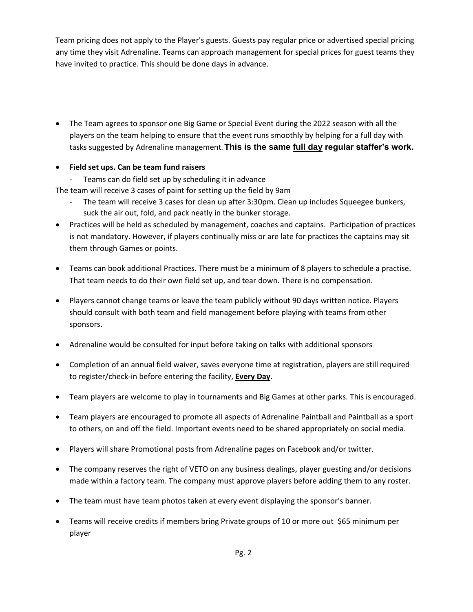Team pricing does not apply to the Player's guests. Guests pay regular price or advertised special pricing any time they visit Adrenaline. Teams can approach management for special prices for guest teams they have invited to practice. This should be done days in advance.

 The Team agrees to sponsor one Big Game or Special Event during the 2022 season with all the players on the team helping to ensure that the event runs smoothly by helping for a full day with tasks suggested by Adrenaline management**. This is the same full day regular staffer's work.**

# **Field set ups. Can be team fund raisers**

- Teams can do field set up by scheduling it in advance

The team will receive 3 cases of paint for setting up the field by 9am

- The team will receive 3 cases for clean up after 3:30pm. Clean up includes Squeegee bunkers, suck the air out, fold, and pack neatly in the bunker storage.
- Practices will be held as scheduled by management, coaches and captains. Participation of practices is not mandatory. However, if players continually miss or are late for practices the captains may sit them through Games or points.
- Teams can book additional Practices. There must be a minimum of 8 players to schedule a practise. That team needs to do their own field set up, and tear down. There is no compensation.
- Players cannot change teams or leave the team publicly without 90 days written notice. Players should consult with both team and field management before playing with teams from other sponsors.
- Adrenaline would be consulted for input before taking on talks with additional sponsors
- Completion of an annual field waiver, saves everyone time at registration, players are still required to register/check-in before entering the facility, **Every Day**.
- Team players are welcome to play in tournaments and Big Games at other parks. This is encouraged.
- Team players are encouraged to promote all aspects of Adrenaline Paintball and Paintball as a sport to others, on and off the field. Important events need to be shared appropriately on social media.
- Players will share Promotional posts from Adrenaline pages on Facebook and/or twitter.
- The company reserves the right of VETO on any business dealings, player guesting and/or decisions made within a factory team. The company must approve players before adding them to any roster.
- The team must have team photos taken at every event displaying the sponsor's banner.
- Teams will receive credits if members bring Private groups of 10 or more out \$65 minimum per player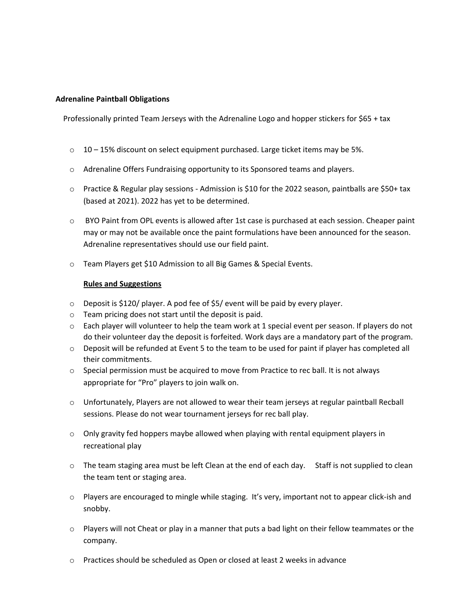#### **Adrenaline Paintball Obligations**

Professionally printed Team Jerseys with the Adrenaline Logo and hopper stickers for \$65 + tax

- $\circ$  10 15% discount on select equipment purchased. Large ticket items may be 5%.
- o Adrenaline Offers Fundraising opportunity to its Sponsored teams and players.
- o Practice & Regular play sessions Admission is \$10 for the 2022 season, paintballs are \$50+ tax (based at 2021). 2022 has yet to be determined.
- o BYO Paint from OPL events is allowed after 1st case is purchased at each session. Cheaper paint may or may not be available once the paint formulations have been announced for the season. Adrenaline representatives should use our field paint.
- o Team Players get \$10 Admission to all Big Games & Special Events.

#### **Rules and Suggestions**

- $\circ$  Deposit is \$120/ player. A pod fee of \$5/ event will be paid by every player.
- o Team pricing does not start until the deposit is paid.
- $\circ$  Each player will volunteer to help the team work at 1 special event per season. If players do not do their volunteer day the deposit is forfeited. Work days are a mandatory part of the program.
- $\circ$  Deposit will be refunded at Event 5 to the team to be used for paint if player has completed all their commitments.
- $\circ$  Special permission must be acquired to move from Practice to rec ball. It is not always appropriate for "Pro" players to join walk on.
- o Unfortunately, Players are not allowed to wear their team jerseys at regular paintball Recball sessions. Please do not wear tournament jerseys for rec ball play.
- $\circ$  Only gravity fed hoppers maybe allowed when playing with rental equipment players in recreational play
- $\circ$  The team staging area must be left Clean at the end of each day. Staff is not supplied to clean the team tent or staging area.
- $\circ$  Players are encouraged to mingle while staging. It's very, important not to appear click-ish and snobby.
- $\circ$  Players will not Cheat or play in a manner that puts a bad light on their fellow teammates or the company.
- o Practices should be scheduled as Open or closed at least 2 weeks in advance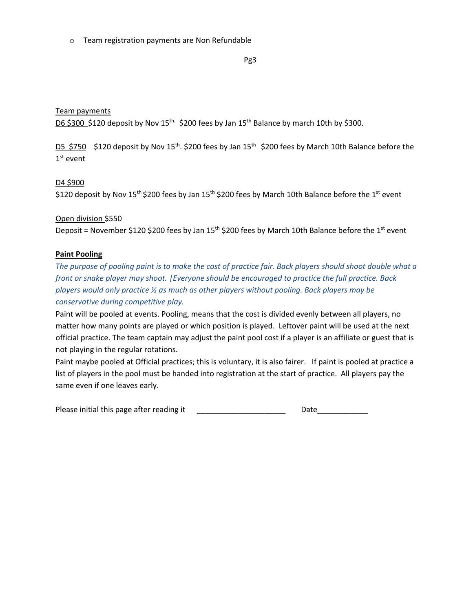o Team registration payments are Non Refundable

Pg3

## Team payments

D6 \$300 \$120 deposit by Nov 15<sup>th.</sup> \$200 fees by Jan 15<sup>th</sup> Balance by march 10th by \$300.

D5 \$750 \$120 deposit by Nov 15<sup>th</sup>. \$200 fees by Jan 15<sup>th</sup> \$200 fees by March 10th Balance before the 1 st event

### D4 \$900

\$120 deposit by Nov 15<sup>th</sup> \$200 fees by Jan 15<sup>th</sup> \$200 fees by March 10th Balance before the 1<sup>st</sup> event

Open division \$550 Deposit = November \$120 \$200 fees by Jan 15<sup>th</sup> \$200 fees by March 10th Balance before the 1<sup>st</sup> event

# **Paint Pooling**

*The purpose of pooling paint is to make the cost of practice fair. Back players should shoot double what a front or snake player may shoot. |Everyone should be encouraged to practice the full practice. Back players would only practice ½ as much as other players without pooling. Back players may be conservative during competitive play.* 

Paint will be pooled at events. Pooling, means that the cost is divided evenly between all players, no matter how many points are played or which position is played. Leftover paint will be used at the next official practice. The team captain may adjust the paint pool cost if a player is an affiliate or guest that is not playing in the regular rotations.

Paint maybe pooled at Official practices; this is voluntary, it is also fairer. If paint is pooled at practice a list of players in the pool must be handed into registration at the start of practice. All players pay the same even if one leaves early.

Please initial this page after reading it the control of the Date Date